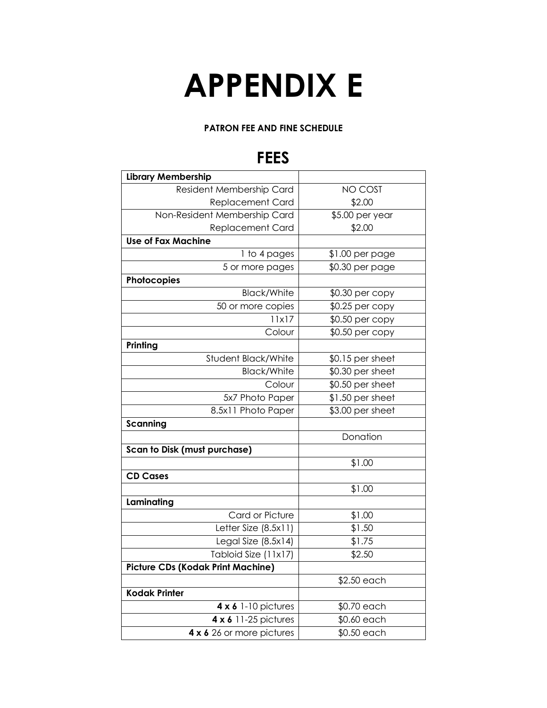## **APPENDIX E**

## **PATRON FEE AND FINE SCHEDULE**

## **FEES**

| <b>Library Membership</b>                |                  |
|------------------------------------------|------------------|
| Resident Membership Card                 | NO COST          |
| <b>Replacement Card</b>                  | \$2.00           |
| Non-Resident Membership Card             | \$5.00 per year  |
| <b>Replacement Card</b>                  | \$2.00           |
| <b>Use of Fax Machine</b>                |                  |
| 1 to 4 pages                             | $$1.00$ per page |
| 5 or more pages                          | \$0.30 per page  |
| Photocopies                              |                  |
| <b>Black/White</b>                       | \$0.30 per copy  |
| 50 or more copies                        | \$0.25 per copy  |
| 11x17                                    | $$0.50$ per copy |
| Colour                                   | \$0.50 per copy  |
| Printing                                 |                  |
| Student Black/White                      | \$0.15 per sheet |
| <b>Black/White</b>                       | \$0.30 per sheet |
| Colour                                   | \$0.50 per sheet |
| 5x7 Photo Paper                          | \$1.50 per sheet |
| 8.5x11 Photo Paper                       | \$3.00 per sheet |
| Scanning                                 |                  |
|                                          | Donation         |
| <b>Scan to Disk (must purchase)</b>      |                  |
|                                          | \$1.00           |
| <b>CD Cases</b>                          |                  |
|                                          | \$1.00           |
| Laminating                               |                  |
| Card or Picture                          | \$1.00           |
| Letter Size (8.5x11)                     | \$1.50           |
| Legal Size $(8.5x14)$                    | \$1.75           |
| Tabloid Size (11x17)                     | \$2.50           |
| <b>Picture CDs (Kodak Print Machine)</b> |                  |
|                                          | \$2.50 each      |
| <b>Kodak Printer</b>                     |                  |
| $4 \times 6$ 1-10 pictures               | \$0.70 each      |
| 4 x 6 11-25 pictures                     | \$0.60 each      |
| 4 x 6 26 or more pictures                | \$0.50 each      |